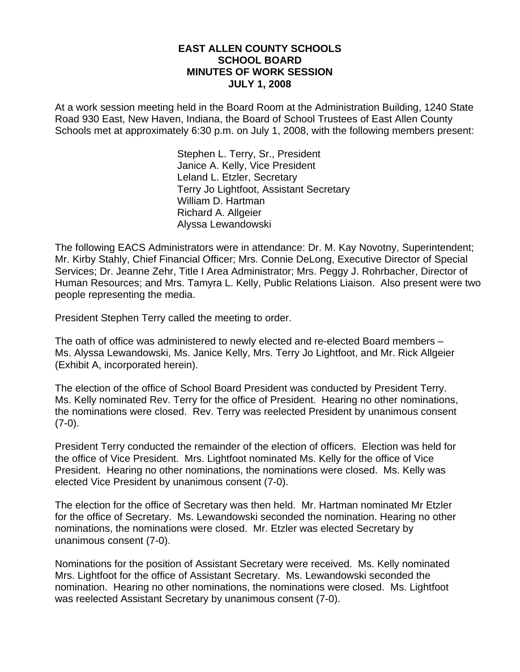#### **EAST ALLEN COUNTY SCHOOLS SCHOOL BOARD MINUTES OF WORK SESSION JULY 1, 2008**

At a work session meeting held in the Board Room at the Administration Building, 1240 State Road 930 East, New Haven, Indiana, the Board of School Trustees of East Allen County Schools met at approximately 6:30 p.m. on July 1, 2008, with the following members present:

> Stephen L. Terry, Sr., President Janice A. Kelly, Vice President Leland L. Etzler, Secretary Terry Jo Lightfoot, Assistant Secretary William D. Hartman Richard A. Allgeier Alyssa Lewandowski

The following EACS Administrators were in attendance: Dr. M. Kay Novotny, Superintendent; Mr. Kirby Stahly, Chief Financial Officer; Mrs. Connie DeLong, Executive Director of Special Services; Dr. Jeanne Zehr, Title I Area Administrator; Mrs. Peggy J. Rohrbacher, Director of Human Resources; and Mrs. Tamyra L. Kelly, Public Relations Liaison. Also present were two people representing the media.

President Stephen Terry called the meeting to order.

The oath of office was administered to newly elected and re-elected Board members – Ms. Alyssa Lewandowski, Ms. Janice Kelly, Mrs. Terry Jo Lightfoot, and Mr. Rick Allgeier (Exhibit A, incorporated herein).

The election of the office of School Board President was conducted by President Terry. Ms. Kelly nominated Rev. Terry for the office of President. Hearing no other nominations, the nominations were closed. Rev. Terry was reelected President by unanimous consent  $(7-0).$ 

President Terry conducted the remainder of the election of officers. Election was held for the office of Vice President. Mrs. Lightfoot nominated Ms. Kelly for the office of Vice President. Hearing no other nominations, the nominations were closed. Ms. Kelly was elected Vice President by unanimous consent (7-0).

The election for the office of Secretary was then held. Mr. Hartman nominated Mr Etzler for the office of Secretary. Ms. Lewandowski seconded the nomination. Hearing no other nominations, the nominations were closed. Mr. Etzler was elected Secretary by unanimous consent (7-0).

Nominations for the position of Assistant Secretary were received. Ms. Kelly nominated Mrs. Lightfoot for the office of Assistant Secretary. Ms. Lewandowski seconded the nomination. Hearing no other nominations, the nominations were closed. Ms. Lightfoot was reelected Assistant Secretary by unanimous consent (7-0).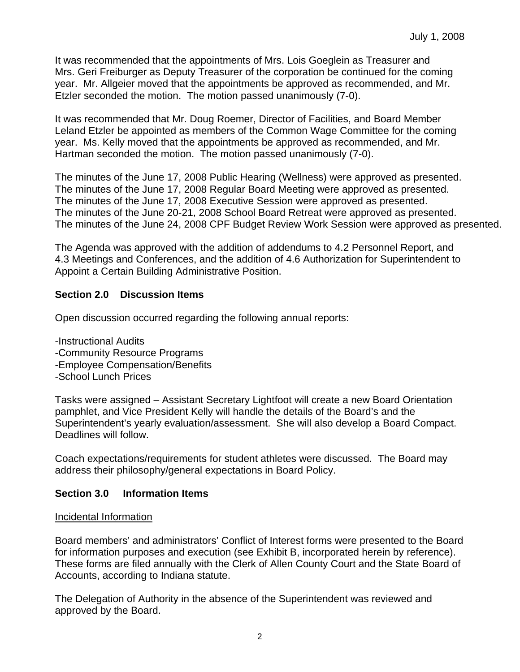It was recommended that the appointments of Mrs. Lois Goeglein as Treasurer and Mrs. Geri Freiburger as Deputy Treasurer of the corporation be continued for the coming year. Mr. Allgeier moved that the appointments be approved as recommended, and Mr. Etzler seconded the motion. The motion passed unanimously (7-0).

It was recommended that Mr. Doug Roemer, Director of Facilities, and Board Member Leland Etzler be appointed as members of the Common Wage Committee for the coming year. Ms. Kelly moved that the appointments be approved as recommended, and Mr. Hartman seconded the motion. The motion passed unanimously (7-0).

The minutes of the June 17, 2008 Public Hearing (Wellness) were approved as presented. The minutes of the June 17, 2008 Regular Board Meeting were approved as presented. The minutes of the June 17, 2008 Executive Session were approved as presented. The minutes of the June 20-21, 2008 School Board Retreat were approved as presented. The minutes of the June 24, 2008 CPF Budget Review Work Session were approved as presented.

The Agenda was approved with the addition of addendums to 4.2 Personnel Report, and 4.3 Meetings and Conferences, and the addition of 4.6 Authorization for Superintendent to Appoint a Certain Building Administrative Position.

# **Section 2.0 Discussion Items**

Open discussion occurred regarding the following annual reports:

- -Instructional Audits
- -Community Resource Programs
- -Employee Compensation/Benefits
- -School Lunch Prices

Tasks were assigned – Assistant Secretary Lightfoot will create a new Board Orientation pamphlet, and Vice President Kelly will handle the details of the Board's and the Superintendent's yearly evaluation/assessment. She will also develop a Board Compact. Deadlines will follow.

Coach expectations/requirements for student athletes were discussed. The Board may address their philosophy/general expectations in Board Policy.

# **Section 3.0 Information Items**

# Incidental Information

Board members' and administrators' Conflict of Interest forms were presented to the Board for information purposes and execution (see Exhibit B, incorporated herein by reference). These forms are filed annually with the Clerk of Allen County Court and the State Board of Accounts, according to Indiana statute.

The Delegation of Authority in the absence of the Superintendent was reviewed and approved by the Board.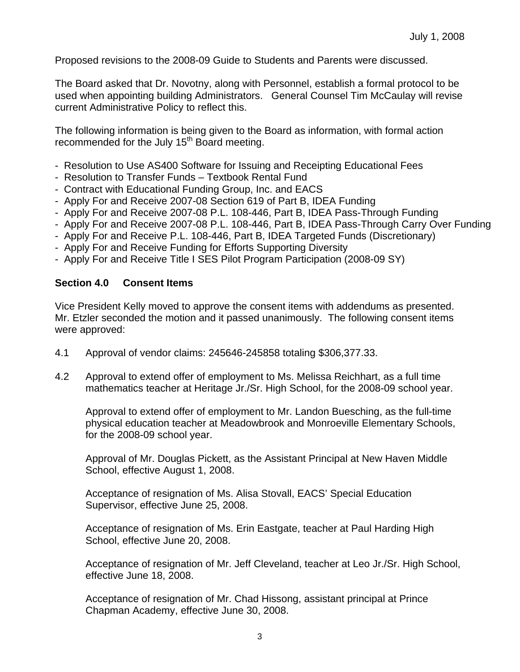Proposed revisions to the 2008-09 Guide to Students and Parents were discussed.

The Board asked that Dr. Novotny, along with Personnel, establish a formal protocol to be used when appointing building Administrators. General Counsel Tim McCaulay will revise current Administrative Policy to reflect this.

The following information is being given to the Board as information, with formal action recommended for the July 15<sup>th</sup> Board meeting.

- Resolution to Use AS400 Software for Issuing and Receipting Educational Fees
- Resolution to Transfer Funds Textbook Rental Fund
- Contract with Educational Funding Group, Inc. and EACS
- Apply For and Receive 2007-08 Section 619 of Part B, IDEA Funding
- Apply For and Receive 2007-08 P.L. 108-446, Part B, IDEA Pass-Through Funding
- Apply For and Receive 2007-08 P.L. 108-446, Part B, IDEA Pass-Through Carry Over Funding
- Apply For and Receive P.L. 108-446, Part B, IDEA Targeted Funds (Discretionary)
- Apply For and Receive Funding for Efforts Supporting Diversity
- Apply For and Receive Title I SES Pilot Program Participation (2008-09 SY)

#### **Section 4.0 Consent Items**

Vice President Kelly moved to approve the consent items with addendums as presented. Mr. Etzler seconded the motion and it passed unanimously. The following consent items were approved:

- 4.1 Approval of vendor claims: 245646-245858 totaling \$306,377.33.
- 4.2 Approval to extend offer of employment to Ms. Melissa Reichhart, as a full time mathematics teacher at Heritage Jr./Sr. High School, for the 2008-09 school year.

Approval to extend offer of employment to Mr. Landon Buesching, as the full-time physical education teacher at Meadowbrook and Monroeville Elementary Schools, for the 2008-09 school year.

Approval of Mr. Douglas Pickett, as the Assistant Principal at New Haven Middle School, effective August 1, 2008.

 Acceptance of resignation of Ms. Alisa Stovall, EACS' Special Education Supervisor, effective June 25, 2008.

Acceptance of resignation of Ms. Erin Eastgate, teacher at Paul Harding High School, effective June 20, 2008.

Acceptance of resignation of Mr. Jeff Cleveland, teacher at Leo Jr./Sr. High School, effective June 18, 2008.

Acceptance of resignation of Mr. Chad Hissong, assistant principal at Prince Chapman Academy, effective June 30, 2008.